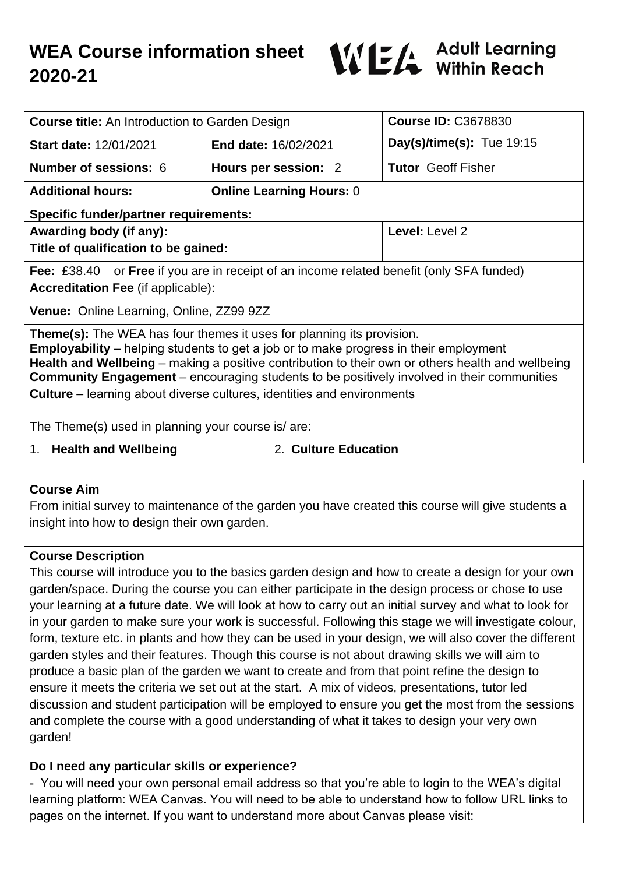

| <b>Course title:</b> An Introduction to Garden Design                                                                                                                                                                                                                                                                                                                                                                                                                   |                                 | <b>Course ID: C3678830</b>  |
|-------------------------------------------------------------------------------------------------------------------------------------------------------------------------------------------------------------------------------------------------------------------------------------------------------------------------------------------------------------------------------------------------------------------------------------------------------------------------|---------------------------------|-----------------------------|
| <b>Start date: 12/01/2021</b>                                                                                                                                                                                                                                                                                                                                                                                                                                           | End date: 16/02/2021            | Day(s)/time(s): Tue $19:15$ |
| <b>Number of sessions: 6</b>                                                                                                                                                                                                                                                                                                                                                                                                                                            | Hours per session: 2            | <b>Tutor</b> Geoff Fisher   |
| <b>Additional hours:</b>                                                                                                                                                                                                                                                                                                                                                                                                                                                | <b>Online Learning Hours: 0</b> |                             |
| <b>Specific funder/partner requirements:</b>                                                                                                                                                                                                                                                                                                                                                                                                                            |                                 |                             |
| Awarding body (if any):                                                                                                                                                                                                                                                                                                                                                                                                                                                 |                                 | Level: Level 2              |
| Title of qualification to be gained:                                                                                                                                                                                                                                                                                                                                                                                                                                    |                                 |                             |
| <b>Fee:</b> £38.40 or <b>Free</b> if you are in receipt of an income related benefit (only SFA funded)                                                                                                                                                                                                                                                                                                                                                                  |                                 |                             |
| <b>Accreditation Fee (if applicable):</b>                                                                                                                                                                                                                                                                                                                                                                                                                               |                                 |                             |
| <b>Venue:</b> Online Learning, Online, ZZ99 9ZZ                                                                                                                                                                                                                                                                                                                                                                                                                         |                                 |                             |
| <b>Theme(s):</b> The WEA has four themes it uses for planning its provision.<br><b>Employability</b> – helping students to get a job or to make progress in their employment<br>Health and Wellbeing – making a positive contribution to their own or others health and wellbeing<br><b>Community Engagement</b> – encouraging students to be positively involved in their communities<br><b>Culture</b> – learning about diverse cultures, identities and environments |                                 |                             |
| The Theme(s) used in planning your course is/ are:                                                                                                                                                                                                                                                                                                                                                                                                                      |                                 |                             |
| 1 Lloelth and Wallhaing                                                                                                                                                                                                                                                                                                                                                                                                                                                 | $\Omega$ Culture Education      |                             |

- 1. **Health and Wellbeing** 2. **Culture Education**
- 

## **Course Aim**

From initial survey to maintenance of the garden you have created this course will give students a insight into how to design their own garden.

### **Course Description**

This course will introduce you to the basics garden design and how to create a design for your own garden/space. During the course you can either participate in the design process or chose to use your learning at a future date. We will look at how to carry out an initial survey and what to look for in your garden to make sure your work is successful. Following this stage we will investigate colour, form, texture etc. in plants and how they can be used in your design, we will also cover the different garden styles and their features. Though this course is not about drawing skills we will aim to produce a basic plan of the garden we want to create and from that point refine the design to ensure it meets the criteria we set out at the start. A mix of videos, presentations, tutor led discussion and student participation will be employed to ensure you get the most from the sessions and complete the course with a good understanding of what it takes to design your very own garden!

## **Do I need any particular skills or experience?**

- You will need your own personal email address so that you're able to login to the WEA's digital learning platform: WEA Canvas. You will need to be able to understand how to follow URL links to pages on the internet. If you want to understand more about Canvas please visit: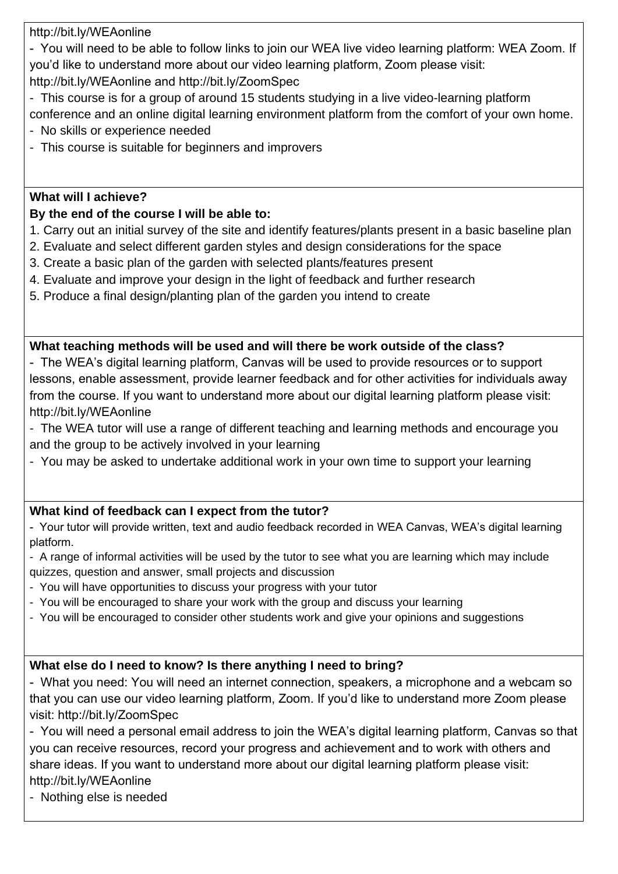http://bit.ly/WEAonline

- You will need to be able to follow links to join our WEA live video learning platform: WEA Zoom. If you'd like to understand more about our video learning platform, Zoom please visit:

http://bit.ly/WEAonline and http://bit.ly/ZoomSpec

- This course is for a group of around 15 students studying in a live video-learning platform conference and an online digital learning environment platform from the comfort of your own home.

- No skills or experience needed
- This course is suitable for beginners and improvers

## **What will I achieve?**

## **By the end of the course I will be able to:**

- 1. Carry out an initial survey of the site and identify features/plants present in a basic baseline plan
- 2. Evaluate and select different garden styles and design considerations for the space
- 3. Create a basic plan of the garden with selected plants/features present
- 4. Evaluate and improve your design in the light of feedback and further research
- 5. Produce a final design/planting plan of the garden you intend to create

## **What teaching methods will be used and will there be work outside of the class?**

- The WEA's digital learning platform, Canvas will be used to provide resources or to support lessons, enable assessment, provide learner feedback and for other activities for individuals away from the course. If you want to understand more about our digital learning platform please visit: http://bit.ly/WEAonline
- The WEA tutor will use a range of different teaching and learning methods and encourage you and the group to be actively involved in your learning
- You may be asked to undertake additional work in your own time to support your learning

## **What kind of feedback can I expect from the tutor?**

- Your tutor will provide written, text and audio feedback recorded in WEA Canvas, WEA's digital learning platform.

- A range of informal activities will be used by the tutor to see what you are learning which may include quizzes, question and answer, small projects and discussion
- You will have opportunities to discuss your progress with your tutor
- You will be encouraged to share your work with the group and discuss your learning
- You will be encouraged to consider other students work and give your opinions and suggestions

# **What else do I need to know? Is there anything I need to bring?**

- What you need: You will need an internet connection, speakers, a microphone and a webcam so that you can use our video learning platform, Zoom. If you'd like to understand more Zoom please visit: http://bit.ly/ZoomSpec

- You will need a personal email address to join the WEA's digital learning platform, Canvas so that you can receive resources, record your progress and achievement and to work with others and share ideas. If you want to understand more about our digital learning platform please visit: http://bit.ly/WEAonline

- Nothing else is needed